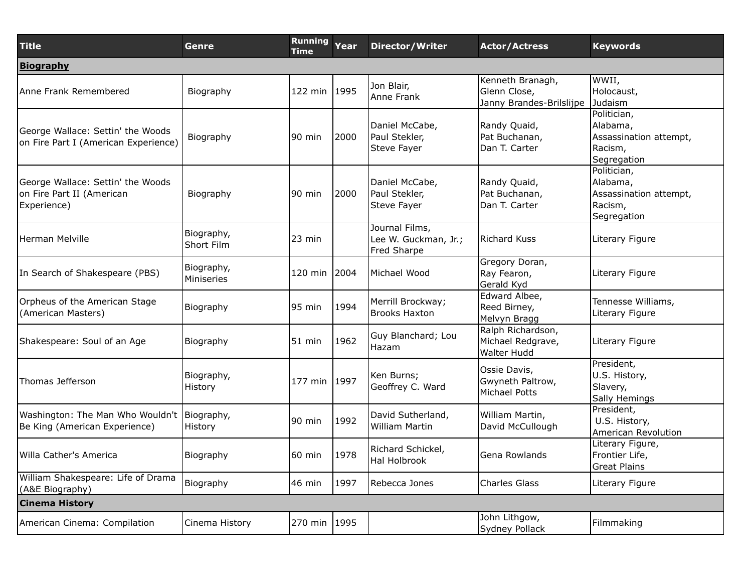| <b>Title</b>                                                                   | Genre                    | <b>Running</b><br><b>Time</b> | Year | <b>Director/Writer</b>                                | <b>Actor/Actress</b>                                         | <b>Keywords</b>                                                             |  |  |
|--------------------------------------------------------------------------------|--------------------------|-------------------------------|------|-------------------------------------------------------|--------------------------------------------------------------|-----------------------------------------------------------------------------|--|--|
| <b>Biography</b>                                                               |                          |                               |      |                                                       |                                                              |                                                                             |  |  |
| Anne Frank Remembered                                                          | Biography                | 122 min 1995                  |      | Jon Blair,<br>Anne Frank                              | Kenneth Branagh,<br>Glenn Close,<br>Janny Brandes-Brilslijpe | WWII,<br>Holocaust,<br>Judaism                                              |  |  |
| George Wallace: Settin' the Woods<br>on Fire Part I (American Experience)      | Biography                | l90 min                       | 2000 | Daniel McCabe,<br>Paul Stekler,<br>Steve Fayer        | Randy Quaid,<br>Pat Buchanan,<br>Dan T. Carter               | Politician,<br>Alabama,<br>Assassination attempt,<br>Racism,<br>Segregation |  |  |
| George Wallace: Settin' the Woods<br>on Fire Part II (American<br>Experience)  | Biography                | 90 min                        | 2000 | Daniel McCabe,<br>Paul Stekler,<br>Steve Fayer        | Randy Quaid,<br>Pat Buchanan,<br>Dan T. Carter               | Politician,<br>Alabama,<br>Assassination attempt,<br>Racism,<br>Segregation |  |  |
| Herman Melville                                                                | Biography,<br>Short Film | 23 min                        |      | Journal Films,<br>Lee W. Guckman, Jr.;<br>Fred Sharpe | <b>Richard Kuss</b>                                          | Literary Figure                                                             |  |  |
| In Search of Shakespeare (PBS)                                                 | Biography,<br>Miniseries | 120 min                       | 2004 | Michael Wood                                          | Gregory Doran,<br>Ray Fearon,<br>Gerald Kyd                  | Literary Figure                                                             |  |  |
| Orpheus of the American Stage<br>(American Masters)                            | Biography                | 95 min                        | 1994 | Merrill Brockway;<br><b>Brooks Haxton</b>             | Edward Albee,<br>Reed Birney,<br>Melvyn Bragg                | Tennesse Williams,<br>Literary Figure                                       |  |  |
| Shakespeare: Soul of an Age                                                    | Biography                | 51 min                        | 1962 | Guy Blanchard; Lou<br>Hazam                           | Ralph Richardson,<br>Michael Redgrave,<br><b>Walter Hudd</b> | Literary Figure                                                             |  |  |
| Thomas Jefferson                                                               | Biography,<br>History    | 177 min 1997                  |      | Ken Burns;<br>Geoffrey C. Ward                        | Ossie Davis,<br>Gwyneth Paltrow,<br>Michael Potts            | President,<br>U.S. History,<br>Slavery,<br>Sally Hemings                    |  |  |
| Washington: The Man Who Wouldn't   Biography,<br>Be King (American Experience) | History                  | $90$ min                      | 1992 | David Sutherland,<br><b>William Martin</b>            | William Martin,<br>David McCullough                          | President,<br>U.S. History,<br>American Revolution                          |  |  |
| lWilla Cather's America                                                        | Biography                | 60 min                        | 1978 | Richard Schickel,<br>Hal Holbrook                     | Gena Rowlands                                                | Literary Figure,<br>Frontier Life,<br>Great Plains                          |  |  |
| William Shakespeare: Life of Drama<br>(A&E Biography)                          | Biography                | 46 min                        | 1997 | Rebecca Jones                                         | <b>Charles Glass</b>                                         | Literary Figure                                                             |  |  |
| <b>Cinema History</b>                                                          |                          |                               |      |                                                       |                                                              |                                                                             |  |  |
| American Cinema: Compilation                                                   | Cinema History           | 270 min 1995                  |      |                                                       | John Lithgow,<br>Sydney Pollack                              | Filmmaking                                                                  |  |  |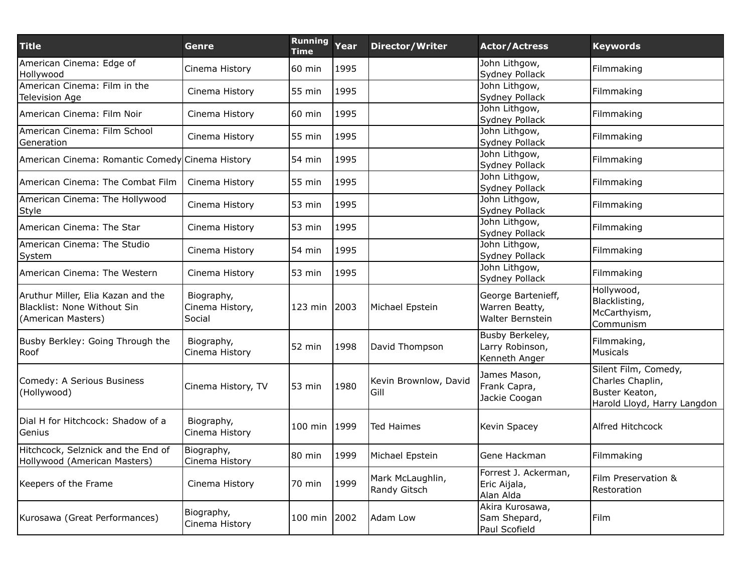| <b>Title</b>                                                                            | Genre                                   | <b>Running</b><br><b>Time</b> | Year | <b>Director/Writer</b>           | <b>Actor/Actress</b>                                     | <b>Keywords</b>                                                                           |
|-----------------------------------------------------------------------------------------|-----------------------------------------|-------------------------------|------|----------------------------------|----------------------------------------------------------|-------------------------------------------------------------------------------------------|
| American Cinema: Edge of<br>Hollywood                                                   | Cinema History                          | 60 min                        | 1995 |                                  | John Lithgow,<br>Sydney Pollack                          | Filmmaking                                                                                |
| American Cinema: Film in the<br><b>Television Age</b>                                   | Cinema History                          | 55 min                        | 1995 |                                  | John Lithgow,<br>Sydney Pollack                          | Filmmaking                                                                                |
| American Cinema: Film Noir                                                              | Cinema History                          | 60 min                        | 1995 |                                  | John Lithgow,<br>Sydney Pollack                          | Filmmaking                                                                                |
| American Cinema: Film School<br>Generation                                              | Cinema History                          | 55 min                        | 1995 |                                  | John Lithgow,<br>Sydney Pollack                          | Filmmaking                                                                                |
| American Cinema: Romantic Comedy Cinema History                                         |                                         | 54 min                        | 1995 |                                  | John Lithgow,<br>Sydney Pollack                          | Filmmaking                                                                                |
| American Cinema: The Combat Film                                                        | Cinema History                          | 55 min                        | 1995 |                                  | John Lithgow,<br>Sydney Pollack                          | Filmmaking                                                                                |
| American Cinema: The Hollywood<br>Style                                                 | Cinema History                          | 53 min                        | 1995 |                                  | John Lithgow,<br>Sydney Pollack                          | Filmmaking                                                                                |
| American Cinema: The Star                                                               | Cinema History                          | 53 min                        | 1995 |                                  | John Lithgow,<br>Sydney Pollack                          | Filmmaking                                                                                |
| American Cinema: The Studio<br>System                                                   | Cinema History                          | 54 min                        | 1995 |                                  | John Lithgow,<br>Sydney Pollack                          | Filmmaking                                                                                |
| American Cinema: The Western                                                            | Cinema History                          | 53 min                        | 1995 |                                  | John Lithgow,<br>Sydney Pollack                          | Filmmaking                                                                                |
| Aruthur Miller, Elia Kazan and the<br>Blacklist: None Without Sin<br>(American Masters) | Biography,<br>Cinema History,<br>Social | 123 min 2003                  |      | Michael Epstein                  | George Bartenieff,<br>Warren Beatty,<br>Walter Bernstein | Hollywood,<br>Blacklisting,<br>McCarthyism,<br>Communism                                  |
| Busby Berkley: Going Through the<br>Roof                                                | Biography,<br>Cinema History            | 52 min                        | 1998 | David Thompson                   | Busby Berkeley,<br>Larry Robinson,<br>Kenneth Anger      | Filmmaking,<br><b>Musicals</b>                                                            |
| Comedy: A Serious Business<br>(Hollywood)                                               | Cinema History, TV                      | 53 min                        | 1980 | Kevin Brownlow, David<br>Gill    | James Mason,<br>Frank Capra,<br>Jackie Coogan            | Silent Film, Comedy,<br>Charles Chaplin,<br>Buster Keaton,<br>Harold Lloyd, Harry Langdon |
| Dial H for Hitchcock: Shadow of a<br>Genius                                             | Biography,<br>Cinema History            | $100$ min                     | 1999 | <b>Ted Haimes</b>                | Kevin Spacey                                             | Alfred Hitchcock                                                                          |
| Hitchcock, Selznick and the End of<br>Hollywood (American Masters)                      | Biography,<br>Cinema History            | 80 min                        | 1999 | Michael Epstein                  | Gene Hackman                                             | Filmmaking                                                                                |
| Keepers of the Frame                                                                    | Cinema History                          | 70 min                        | 1999 | Mark McLaughlin,<br>Randy Gitsch | Forrest J. Ackerman,<br>Eric Aijala,<br>Alan Alda        | Film Preservation &<br>Restoration                                                        |
| Kurosawa (Great Performances)                                                           | Biography,<br>Cinema History            | 100 min 2002                  |      | Adam Low                         | Akira Kurosawa,<br>Sam Shepard,<br>Paul Scofield         | Film                                                                                      |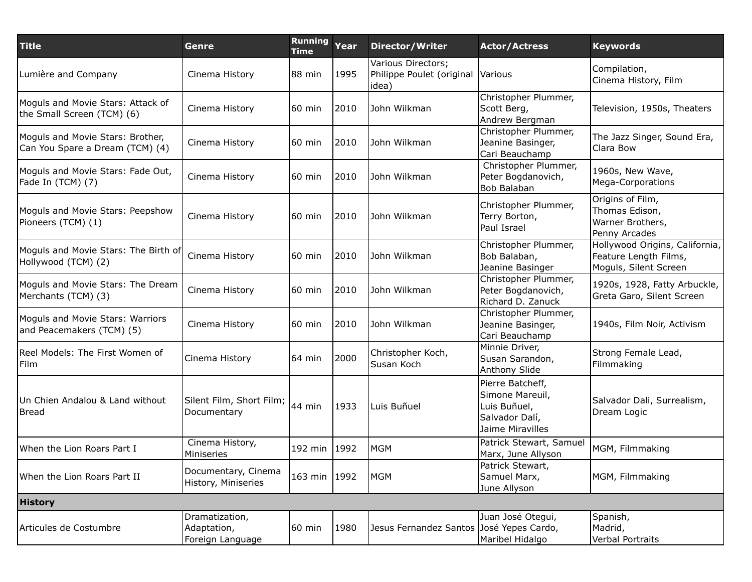| <b>Title</b>                                                        | Genre                                             | <b>Running</b><br><b>Time</b> | Year | <b>Director/Writer</b>                                   | <b>Actor/Actress</b>                                                                      | <b>Keywords</b>                                                                  |
|---------------------------------------------------------------------|---------------------------------------------------|-------------------------------|------|----------------------------------------------------------|-------------------------------------------------------------------------------------------|----------------------------------------------------------------------------------|
| Lumière and Company                                                 | Cinema History                                    | 88 min                        | 1995 | Various Directors;<br>Philippe Poulet (original<br>idea) | <b>Various</b>                                                                            | Compilation,<br>Cinema History, Film                                             |
| Moguls and Movie Stars: Attack of<br>the Small Screen (TCM) (6)     | Cinema History                                    | 60 min                        | 2010 | John Wilkman                                             | Christopher Plummer,<br>Scott Berg,<br>Andrew Bergman                                     | Television, 1950s, Theaters                                                      |
| Moguls and Movie Stars: Brother,<br>Can You Spare a Dream (TCM) (4) | Cinema History                                    | 60 min                        | 2010 | John Wilkman                                             | Christopher Plummer,<br>Jeanine Basinger,<br>Cari Beauchamp                               | The Jazz Singer, Sound Era,<br>Clara Bow                                         |
| Moguls and Movie Stars: Fade Out,<br>Fade In (TCM) (7)              | Cinema History                                    | 60 min                        | 2010 | John Wilkman                                             | Christopher Plummer,<br>Peter Bogdanovich,<br>Bob Balaban                                 | 1960s, New Wave,<br>Mega-Corporations                                            |
| Moguls and Movie Stars: Peepshow<br>Pioneers (TCM) (1)              | Cinema History                                    | 60 min                        | 2010 | John Wilkman                                             | Christopher Plummer,<br>Terry Borton,<br>Paul Israel                                      | Origins of Film,<br>Thomas Edison,<br>Warner Brothers,<br>Penny Arcades          |
| Moguls and Movie Stars: The Birth of<br>Hollywood (TCM) (2)         | Cinema History                                    | 60 min                        | 2010 | John Wilkman                                             | Christopher Plummer,<br>Bob Balaban,<br>Jeanine Basinger                                  | Hollywood Origins, California,<br>Feature Length Films,<br>Moguls, Silent Screen |
| Moguls and Movie Stars: The Dream<br>Merchants (TCM) (3)            | Cinema History                                    | 60 min                        | 2010 | John Wilkman                                             | Christopher Plummer,<br>Peter Bogdanovich,<br>Richard D. Zanuck                           | 1920s, 1928, Fatty Arbuckle,<br>Greta Garo, Silent Screen                        |
| Moguls and Movie Stars: Warriors<br>and Peacemakers (TCM) (5)       | Cinema History                                    | 60 min                        | 2010 | John Wilkman                                             | Christopher Plummer,<br>Jeanine Basinger,<br>Cari Beauchamp                               | 1940s, Film Noir, Activism                                                       |
| Reel Models: The First Women of<br>Film                             | Cinema History                                    | $64$ min                      | 2000 | Christopher Koch,<br>Susan Koch                          | Minnie Driver,<br>Susan Sarandon,<br>Anthony Slide                                        | Strong Female Lead,<br>Filmmaking                                                |
| Un Chien Andalou & Land without<br>Bread                            | Silent Film, Short Film;<br>Documentary           | 44 min                        | 1933 | Luis Buñuel                                              | Pierre Batcheff,<br>Simone Mareuil,<br>Luis Buñuel,<br>Salvador Dalí,<br>Jaime Miravilles | Salvador Dali, Surrealism,<br>Dream Logic                                        |
| When the Lion Roars Part I                                          | Cinema History,<br>Miniseries                     | 192 min                       | 1992 | MGM                                                      | Patrick Stewart, Samuel<br>Marx, June Allyson                                             | MGM, Filmmaking                                                                  |
| When the Lion Roars Part II                                         | Documentary, Cinema<br>History, Miniseries        | 163 min 1992                  |      | MGM                                                      | Patrick Stewart,<br>Samuel Marx,<br>June Allyson                                          | MGM, Filmmaking                                                                  |
| <b>History</b>                                                      |                                                   |                               |      |                                                          |                                                                                           |                                                                                  |
| Articules de Costumbre                                              | Dramatization,<br>Adaptation,<br>Foreign Language | 60 min                        | 1980 | Jesus Fernandez Santos José Yepes Cardo,                 | Juan José Otegui,<br>Maribel Hidalgo                                                      | Spanish,<br>Madrid,<br>Verbal Portraits                                          |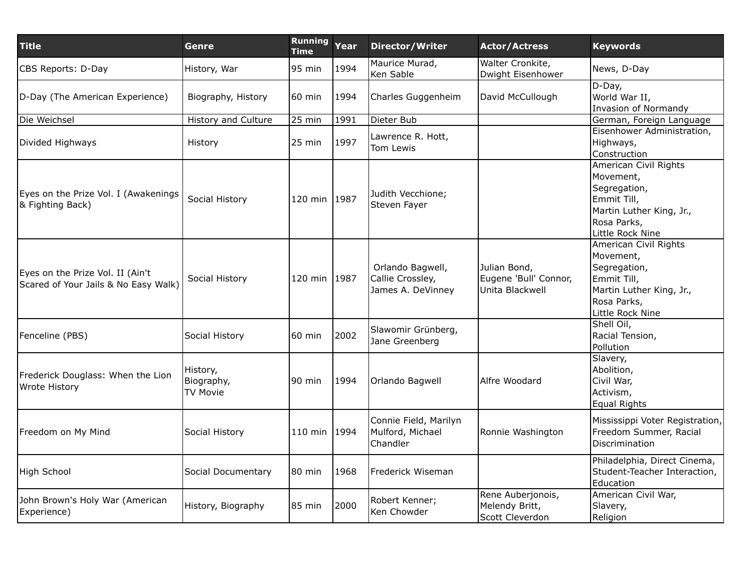| <b>Title</b>                                                             | Genre                                     | <b>Running</b><br><b>Time</b> | Year | <b>Director/Writer</b>                                    | <b>Actor/Actress</b>                                     | <b>Keywords</b>                                                                                                                  |
|--------------------------------------------------------------------------|-------------------------------------------|-------------------------------|------|-----------------------------------------------------------|----------------------------------------------------------|----------------------------------------------------------------------------------------------------------------------------------|
| CBS Reports: D-Day                                                       | History, War                              | 95 min                        | 1994 | Maurice Murad,<br>Ken Sable                               | Walter Cronkite,<br>Dwight Eisenhower                    | News, D-Day                                                                                                                      |
| D-Day (The American Experience)                                          | Biography, History                        | 60 min                        | 1994 | Charles Guggenheim                                        | David McCullough                                         | D-Day,<br>World War II,<br>Invasion of Normandy                                                                                  |
| Die Weichsel                                                             | History and Culture                       | 25 min                        | 1991 | Dieter Bub                                                |                                                          | German, Foreign Language                                                                                                         |
| Divided Highways                                                         | History                                   | 25 min                        | 1997 | Lawrence R. Hott,<br>Tom Lewis                            |                                                          | Eisenhower Administration,<br>Highways,<br>Construction                                                                          |
| Eyes on the Prize Vol. I (Awakenings<br>& Fighting Back)                 | Social History                            | 120 min 1987                  |      | Judith Vecchione;<br>Steven Fayer                         |                                                          | American Civil Rights<br>Movement,<br>Segregation,<br>Emmit Till,<br>Martin Luther King, Jr.,<br>Rosa Parks,<br>Little Rock Nine |
| Eyes on the Prize Vol. II (Ain't<br>Scared of Your Jails & No Easy Walk) | Social History                            | 120 min 1987                  |      | Orlando Bagwell,<br>Callie Crossley,<br>James A. DeVinney | Julian Bond,<br>Eugene 'Bull' Connor,<br>Unita Blackwell | American Civil Rights<br>Movement,<br>Segregation,<br>Emmit Till,<br>Martin Luther King, Jr.,<br>Rosa Parks,<br>Little Rock Nine |
| Fenceline (PBS)                                                          | Social History                            | 60 min                        | 2002 | Slawomir Grünberg,<br>Jane Greenberg                      |                                                          | Shell Oil,<br>Racial Tension,<br>Pollution                                                                                       |
| Frederick Douglass: When the Lion<br>Wrote History                       | History,<br>Biography,<br><b>TV Movie</b> | 90 min                        | 1994 | Orlando Bagwell                                           | Alfre Woodard                                            | Slavery,<br>Abolition,<br>Civil War,<br>Activism,<br>Equal Rights                                                                |
| Freedom on My Mind                                                       | Social History                            | 110 min 1994                  |      | Connie Field, Marilyn<br>Mulford, Michael<br>Chandler     | Ronnie Washington                                        | Mississippi Voter Registration,<br>Freedom Summer, Racial<br>Discrimination                                                      |
| High School                                                              | Social Documentary                        | 80 min                        | 1968 | Frederick Wiseman                                         |                                                          | Philadelphia, Direct Cinema,<br>Student-Teacher Interaction,<br>Education                                                        |
| John Brown's Holy War (American<br>Experience)                           | History, Biography                        | 85 min                        | 2000 | Robert Kenner;<br>Ken Chowder                             | Rene Auberjonois,<br>Melendy Britt,<br>Scott Cleverdon   | American Civil War,<br>Slavery,<br>Religion                                                                                      |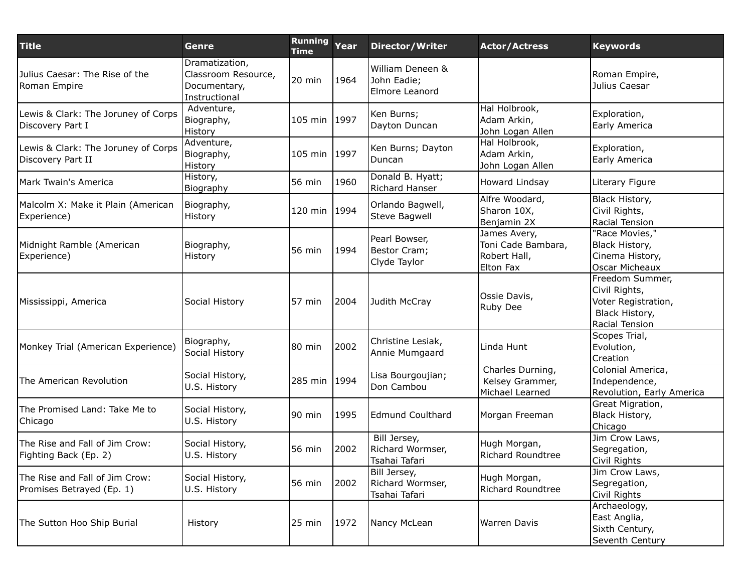| <b>Title</b>                                                | Genre                                                                  | <b>Running</b><br><b>Time</b> | Year | <b>Director/Writer</b>                            | <b>Actor/Actress</b>                                            | <b>Keywords</b>                                                                             |
|-------------------------------------------------------------|------------------------------------------------------------------------|-------------------------------|------|---------------------------------------------------|-----------------------------------------------------------------|---------------------------------------------------------------------------------------------|
| Julius Caesar: The Rise of the<br>Roman Empire              | Dramatization,<br>Classroom Resource,<br>Documentary,<br>Instructional | 20 min                        | 1964 | William Deneen &<br>John Eadie;<br>Elmore Leanord |                                                                 | Roman Empire,<br>Julius Caesar                                                              |
| Lewis & Clark: The Joruney of Corps<br>Discovery Part I     | Adventure,<br>Biography,<br>History                                    | 105 min 1997                  |      | Ken Burns;<br>Dayton Duncan                       | Hal Holbrook,<br>Adam Arkin,<br>John Logan Allen                | Exploration,<br>Early America                                                               |
| Lewis & Clark: The Joruney of Corps<br>Discovery Part II    | Adventure,<br>Biography,<br>History                                    | 105 min 1997                  |      | Ken Burns; Dayton<br>Duncan                       | Hal Holbrook,<br>Adam Arkin,<br>John Logan Allen                | Exploration,<br>Early America                                                               |
| Mark Twain's America                                        | History,<br>Biography                                                  | 56 min                        | 1960 | Donald B. Hyatt;<br>Richard Hanser                | Howard Lindsay                                                  | Literary Figure                                                                             |
| Malcolm X: Make it Plain (American<br>Experience)           | Biography,<br>History                                                  | 120 min                       | 1994 | Orlando Bagwell,<br>Steve Bagwell                 | Alfre Woodard,<br>Sharon 10X,<br>Benjamin 2X                    | Black History,<br>Civil Rights,<br>Racial Tension                                           |
| Midnight Ramble (American<br>Experience)                    | Biography,<br>History                                                  | 56 min                        | 1994 | Pearl Bowser,<br>Bestor Cram;<br>Clyde Taylor     | James Avery,<br>Toni Cade Bambara,<br>Robert Hall,<br>Elton Fax | 'Race Movies,"<br>Black History,<br>Cinema History,<br>Oscar Micheaux                       |
| Mississippi, America                                        | Social History                                                         | 57 min                        | 2004 | Judith McCray                                     | Ossie Davis,<br>Ruby Dee                                        | Freedom Summer,<br>Civil Rights,<br>Voter Registration,<br>Black History,<br>Racial Tension |
| Monkey Trial (American Experience)                          | Biography,<br>Social History                                           | 80 min                        | 2002 | Christine Lesiak,<br>Annie Mumgaard               | Linda Hunt                                                      | Scopes Trial,<br>Evolution,<br>Creation                                                     |
| The American Revolution                                     | Social History,<br>U.S. History                                        | 285 min                       | 1994 | Lisa Bourgoujian;<br>Don Cambou                   | Charles Durning,<br>Kelsey Grammer,<br>Michael Learned          | Colonial America,<br>Independence,<br>Revolution, Early America                             |
| The Promised Land: Take Me to<br>Chicago                    | Social History,<br>U.S. History                                        | 190 min                       | 1995 | <b>Edmund Coulthard</b>                           | Morgan Freeman                                                  | Great Migration,<br>Black History,<br>Chicago                                               |
| The Rise and Fall of Jim Crow:<br>Fighting Back (Ep. 2)     | Social History,<br>U.S. History                                        | 56 min                        | 2002 | Bill Jersey,<br>Richard Wormser,<br>Tsahai Tafari | Hugh Morgan,<br><b>Richard Roundtree</b>                        | Jim Crow Laws,<br>Segregation,<br>Civil Rights                                              |
| The Rise and Fall of Jim Crow:<br>Promises Betrayed (Ep. 1) | Social History,<br>U.S. History                                        | 56 min                        | 2002 | Bill Jersey,<br>Richard Wormser,<br>Tsahai Tafari | Hugh Morgan,<br>Richard Roundtree                               | Jim Crow Laws,<br>Segregation,<br>Civil Rights                                              |
| The Sutton Hoo Ship Burial                                  | History                                                                | 25 min                        | 1972 | Nancy McLean                                      | <b>Warren Davis</b>                                             | Archaeology,<br>East Anglia,<br>Sixth Century,<br>Seventh Century                           |